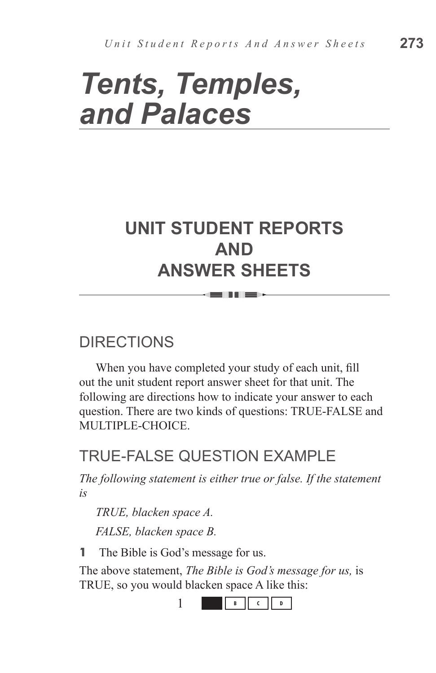# *Tents, Temples, and Palaces*

# **UNIT STUDENT REPORTS AND ANSWER SHEETS**

= 11 H = 1

## DIRECTIONS

When you have completed your study of each unit, fill out the unit student report answer sheet for that unit. The following are directions how to indicate your answer to each question. There are two kinds of questions: TRUE-FALSE and MULTIPLE-CHOICE.

## TRUF-FALSE QUESTION EXAMPLE

*The following statement is either true or false. If the statement is*

*TRUE, blacken space A. FALSE, blacken space B.*

**1** The Bible is God's message for us.

The above statement, *The Bible is God's message for us,* is TRUE, so you would blacken space A like this:

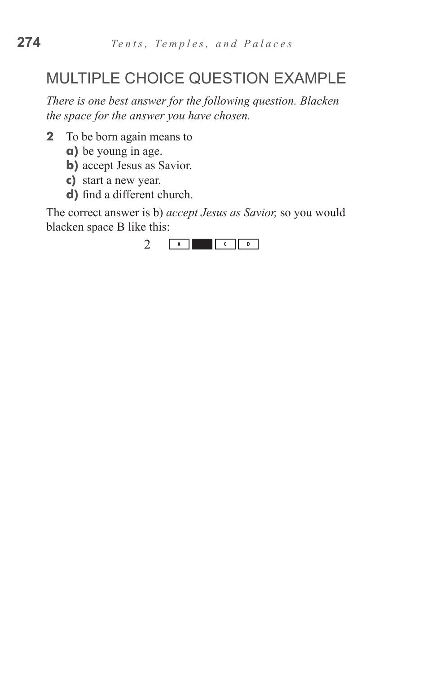## MULTIPLE CHOICE QUESTION EXAMPLE

*There is one best answer for the following question. Blacken the space for the answer you have chosen.*

- **2** To be born again means to
	- **a)** be young in age.
	- **b**) accept Jesus as Savior.
	- **c)**  start a new year.
	- **d**) find a different church.

The correct answer is b) *accept Jesus as Savior,* so you would blacken space B like this:

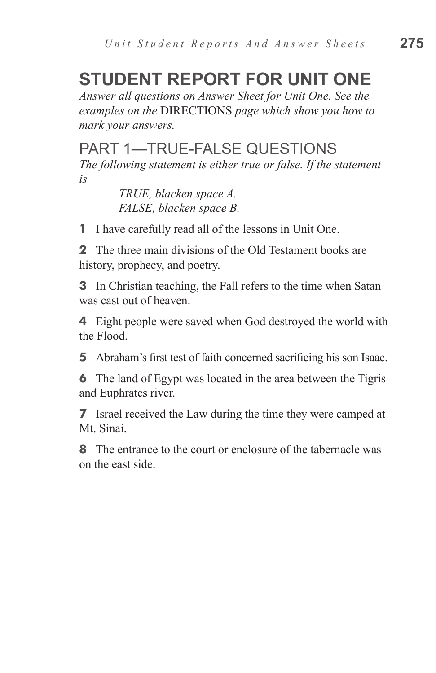# **STUDENT REPORT FOR UNIT ONE**

*Answer all questions on Answer Sheet for Unit One. See the examples on the* DIRECTIONS *page which show you how to mark your answers.*

#### PART 1—TRUE-FALSE QUESTIONS

*The following statement is either true or false. If the statement is*

> *TRUE, blacken space A. FALSE, blacken space B.*

**1** I have carefully read all of the lessons in Unit One.

**2** The three main divisions of the Old Testament books are history, prophecy, and poetry.

**3** In Christian teaching, the Fall refers to the time when Satan was cast out of heaven.

**4** Eight people were saved when God destroyed the world with the Flood.

**5** Abraham's first test of faith concerned sacrificing his son Isaac.

**6** The land of Egypt was located in the area between the Tigris and Euphrates river.

**7** Israel received the Law during the time they were camped at Mt. Sinai.

**8** The entrance to the court or enclosure of the tabernacle was on the east side.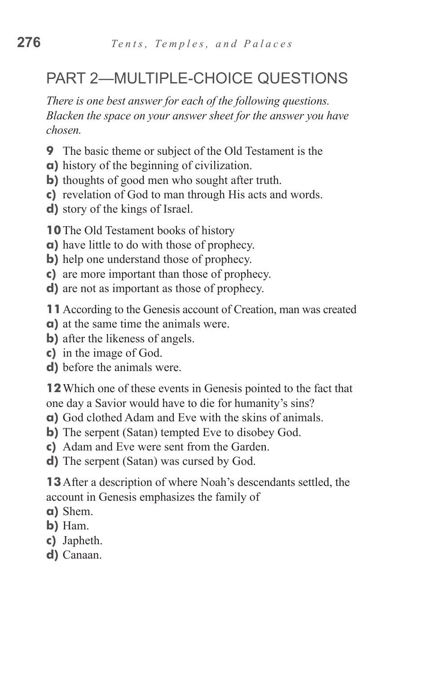## PART 2—MULTIPLE-CHOICE QUESTIONS

*There is one best answer for each of the following questions. Blacken the space on your answer sheet for the answer you have chosen.*

- **9** The basic theme or subject of the Old Testament is the
- **a)** history of the beginning of civilization.
- **b)** thoughts of good men who sought after truth.
- **c)** revelation of God to man through His acts and words.
- **d)** story of the kings of Israel.

**10** The Old Testament books of history

- **a)** have little to do with those of prophecy.
- **b**) help one understand those of prophecy.
- **c)** are more important than those of prophecy.
- **d)** are not as important as those of prophecy.
- **11**According to the Genesis account of Creation, man was created
- **a)** at the same time the animals were.
- **b**) after the likeness of angels.
- **c)** in the image of God.
- **d)** before the animals were.

**12**Which one of these events in Genesis pointed to the fact that one day a Savior would have to die for humanity's sins?

- **a)** God clothed Adam and Eve with the skins of animals.
- **b**) The serpent (Satan) tempted Eve to disobey God.
- **c)** Adam and Eve were sent from the Garden.
- **d)** The serpent (Satan) was cursed by God.

**13**After a description of where Noah's descendants settled, the account in Genesis emphasizes the family of

- **a)** Shem.
- **b)** Ham.
- **c)** Japheth.
- **d)** Canaan.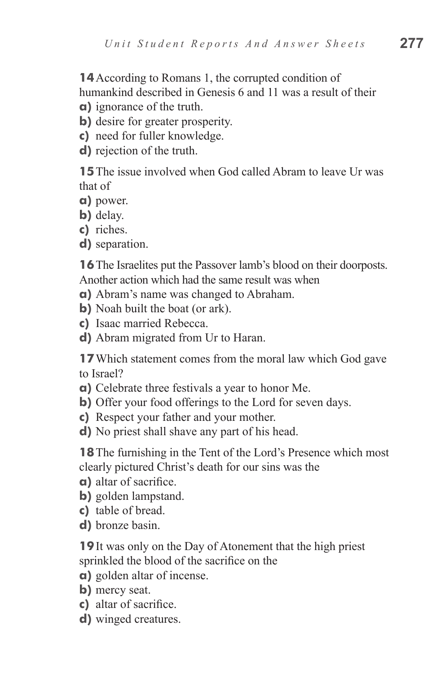**14**According to Romans 1, the corrupted condition of humankind described in Genesis 6 and 11 was a result of their

- **a)** ignorance of the truth.
- **b**) desire for greater prosperity.
- **c)** need for fuller knowledge.
- **d)** rejection of the truth.

**15** The issue involved when God called Abram to leave Ur was that of

- **a)** power.
- **b)** delay.
- **c)** riches.
- **d)** separation.

**16** The Israelites put the Passover lamb's blood on their doorposts. Another action which had the same result was when

- **a)** Abram's name was changed to Abraham.
- **b**) Noah built the boat (or ark).
- **c)** Isaac married Rebecca.
- **d)** Abram migrated from Ur to Haran.

**17**Which statement comes from the moral law which God gave to Israel?

- **a)** Celebrate three festivals a year to honor Me.
- **b)** Offer your food offerings to the Lord for seven days.
- **c)** Respect your father and your mother.
- **d)** No priest shall shave any part of his head.

**18**The furnishing in the Tent of the Lord's Presence which most clearly pictured Christ's death for our sins was the

- **a)** altar of sacrifice.
- **b)** golden lampstand.
- **c)** table of bread.
- **d)** bronze basin.

**19**It was only on the Day of Atonement that the high priest sprinkled the blood of the sacrifice on the

- **a)** golden altar of incense.
- **b)** mercy seat.
- **c)** altar of sacrifice.
- **d)** winged creatures.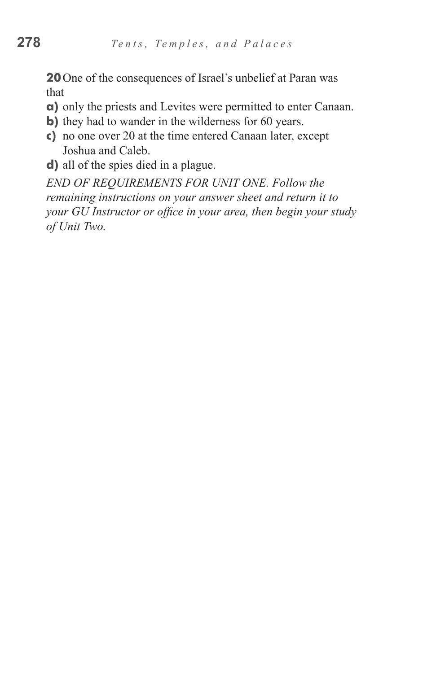**20**One of the consequences of Israel's unbelief at Paran was that

- **a)** only the priests and Levites were permitted to enter Canaan.
- **b**) they had to wander in the wilderness for 60 years.
- **c)** no one over 20 at the time entered Canaan later, except Joshua and Caleb.
- **d)** all of the spies died in a plague.

*END OF REQUIREMENTS FOR UNIT ONE. Follow the remaining instructions on your answer sheet and return it to your GU Instructor or office in your area, then begin your study of Unit Two.*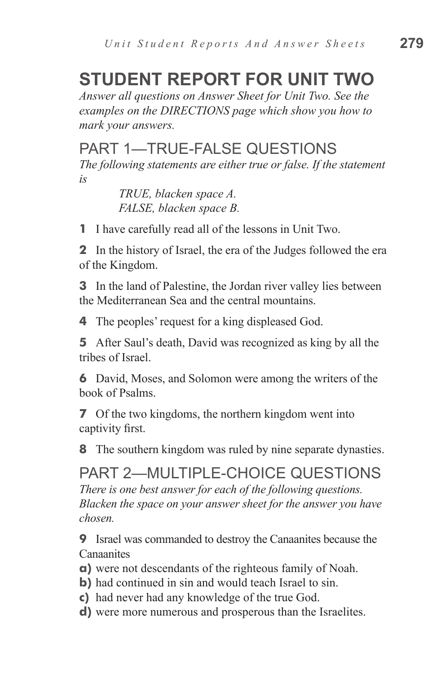# **STUDENT REPORT FOR UNIT TWO**

*Answer all questions on Answer Sheet for Unit Two. See the examples on the DIRECTIONS page which show you how to mark your answers.*

#### PART 1—TRUE-FALSE QUESTIONS

*The following statements are either true or false. If the statement is*

> *TRUE, blacken space A. FALSE, blacken space B.*

**1** I have carefully read all of the lessons in Unit Two.

**2** In the history of Israel, the era of the Judges followed the era of the Kingdom.

**3** In the land of Palestine, the Jordan river valley lies between the Mediterranean Sea and the central mountains.

**4** The peoples' request for a king displeased God.

**5** After Saul's death, David was recognized as king by all the tribes of Israel.

**6** David, Moses, and Solomon were among the writers of the book of Psalms.

**7** Of the two kingdoms, the northern kingdom went into captivity first.

**8** The southern kingdom was ruled by nine separate dynasties.

PART 2—MULTIPLE-CHOICE QUESTIONS *There is one best answer for each of the following questions. Blacken the space on your answer sheet for the answer you have chosen.*

**9** Israel was commanded to destroy the Canaanites because the Canaanites

- **a)** were not descendants of the righteous family of Noah.
- **b)** had continued in sin and would teach Israel to sin.
- **c)** had never had any knowledge of the true God.
- **d)** were more numerous and prosperous than the Israelites.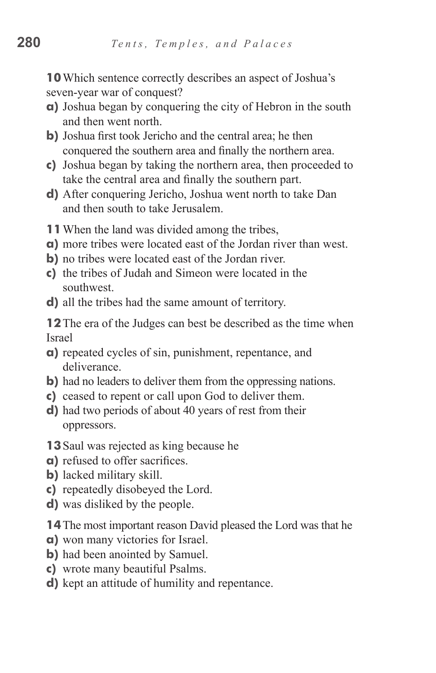**10**Which sentence correctly describes an aspect of Joshua's seven-year war of conquest?

- **a)** Joshua began by conquering the city of Hebron in the south and then went north.
- **b)** Joshua first took Jericho and the central area; he then conquered the southern area and finally the northern area.
- **c)** Joshua began by taking the northern area, then proceeded to take the central area and finally the southern part.
- **d)** After conquering Jericho, Joshua went north to take Dan and then south to take Jerusalem.
- **11**When the land was divided among the tribes,
- **a)** more tribes were located east of the Jordan river than west.
- **b)** no tribes were located east of the Jordan river.
- **c)** the tribes of Judah and Simeon were located in the southwest.
- **d)** all the tribes had the same amount of territory.

**12**The era of the Judges can best be described as the time when Israel

- **a)** repeated cycles of sin, punishment, repentance, and deliverance.
- **b**) had no leaders to deliver them from the oppressing nations.
- **c)** ceased to repent or call upon God to deliver them.
- **d)** had two periods of about 40 years of rest from their oppressors.
- **13**Saul was rejected as king because he
- **a)** refused to offer sacrifices.
- **b)** lacked military skill.
- **c)** repeatedly disobeyed the Lord.
- **d)** was disliked by the people.
- **14**The most important reason David pleased the Lord was that he
- **a)** won many victories for Israel.
- **b**) had been anointed by Samuel.
- **c)** wrote many beautiful Psalms.
- **d)** kept an attitude of humility and repentance.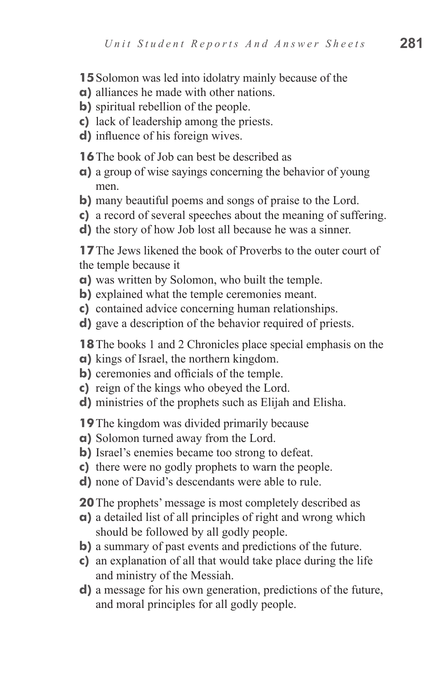- **15** Solomon was led into idolatry mainly because of the
- **a)** alliances he made with other nations.
- **b**) spiritual rebellion of the people.
- **c)** lack of leadership among the priests.
- **d)** influence of his foreign wives.

**16** The book of Job can best be described as

- **a)** a group of wise sayings concerning the behavior of young men.
- **b)** many beautiful poems and songs of praise to the Lord.
- **c)** a record of several speeches about the meaning of suffering.
- **d)** the story of how Job lost all because he was a sinner.

**17** The Jews likened the book of Proverbs to the outer court of the temple because it

- **a)** was written by Solomon, who built the temple.
- **b**) explained what the temple ceremonies meant.
- **c)** contained advice concerning human relationships.
- **d)** gave a description of the behavior required of priests.

**18**The books 1 and 2 Chronicles place special emphasis on the

- **a)** kings of Israel, the northern kingdom.
- **b**) ceremonies and officials of the temple.
- **c)** reign of the kings who obeyed the Lord.
- **d)** ministries of the prophets such as Elijah and Elisha.

**19**The kingdom was divided primarily because

- **a)** Solomon turned away from the Lord.
- **b**) Israel's enemies became too strong to defeat.
- **c)** there were no godly prophets to warn the people.
- **d)** none of David's descendants were able to rule.

**20**The prophets' message is most completely described as

- **a)** a detailed list of all principles of right and wrong which should be followed by all godly people.
- **b)** a summary of past events and predictions of the future.
- **c)** an explanation of all that would take place during the life and ministry of the Messiah.
- **d)** a message for his own generation, predictions of the future, and moral principles for all godly people.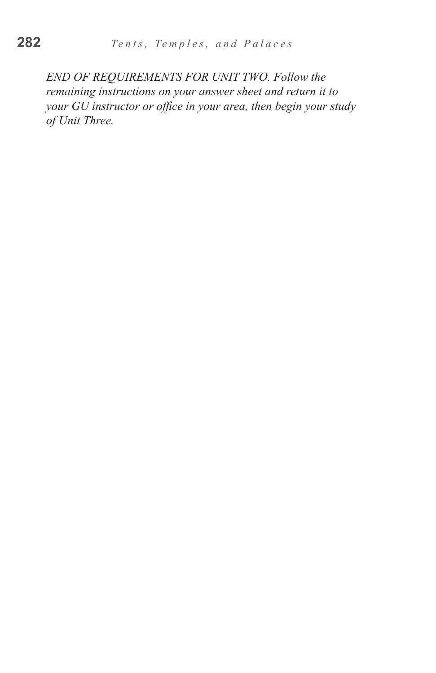*END OF REQUIREMENTS FOR UNIT TWO. Follow the remaining instructions on your answer sheet and return it to your GU instructor or office in your area, then begin your study of Unit Three.*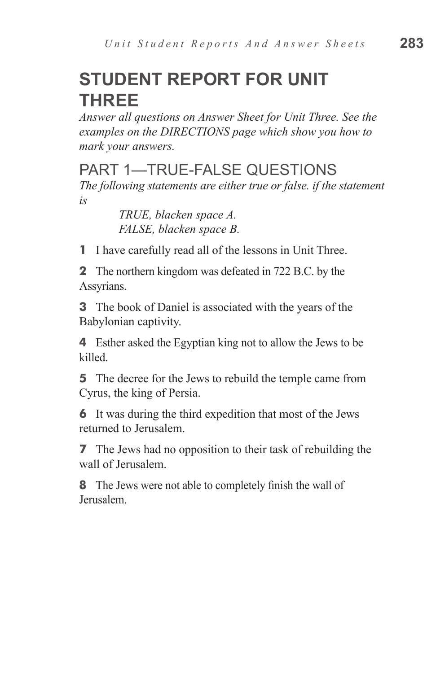# **STUDENT REPORT FOR UNIT THREE**

*Answer all questions on Answer Sheet for Unit Three. See the examples on the DIRECTIONS page which show you how to mark your answers.*

#### PART 1—TRUE-FALSE QUESTIONS

*The following statements are either true or false. if the statement is*

> *TRUE, blacken space A. FALSE, blacken space B.*

**1** I have carefully read all of the lessons in Unit Three.

**2** The northern kingdom was defeated in 722 B.C. by the Assyrians.

**3** The book of Daniel is associated with the years of the Babylonian captivity.

**4** Esther asked the Egyptian king not to allow the Jews to be killed.

**5** The decree for the Jews to rebuild the temple came from Cyrus, the king of Persia.

**6** It was during the third expedition that most of the Jews returned to Jerusalem.

**7** The Jews had no opposition to their task of rebuilding the wall of Jerusalem.

**8** The Jews were not able to completely finish the wall of Jerusalem.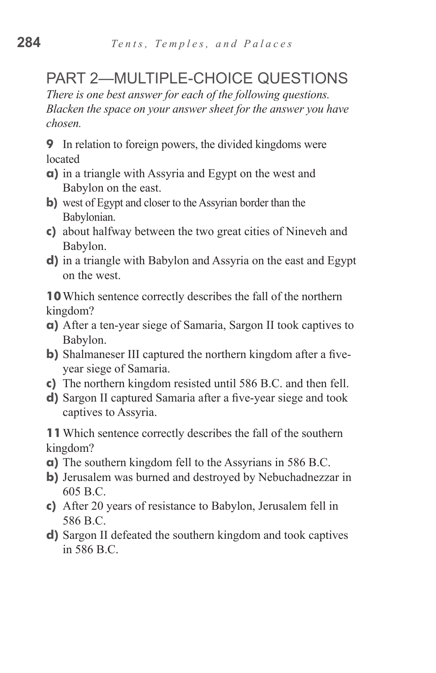## PART 2—MULTIPLE-CHOICE QUESTIONS

*There is one best answer for each of the following questions. Blacken the space on your answer sheet for the answer you have chosen.*

**9** In relation to foreign powers, the divided kingdoms were located

- **a)** in a triangle with Assyria and Egypt on the west and Babylon on the east.
- **b)** west of Egypt and closer to the Assyrian border than the Babylonian.
- **c)** about halfway between the two great cities of Nineveh and Babylon.
- **d)** in a triangle with Babylon and Assyria on the east and Egypt on the west.

**10**Which sentence correctly describes the fall of the northern kingdom?

- **a)** After a ten-year siege of Samaria, Sargon II took captives to Babylon.
- **b**) Shalmaneser III captured the northern kingdom after a fiveyear siege of Samaria.
- **c)** The northern kingdom resisted until 586 B.C. and then fell.
- **d)** Sargon II captured Samaria after a five-year siege and took captives to Assyria.

**11**Which sentence correctly describes the fall of the southern kingdom?

- **a)** The southern kingdom fell to the Assyrians in 586 B.C.
- **b)** Jerusalem was burned and destroyed by Nebuchadnezzar in 605 B.C.
- **c)** After 20 years of resistance to Babylon, Jerusalem fell in 586 B.C.
- **d)** Sargon II defeated the southern kingdom and took captives in 586 B.C.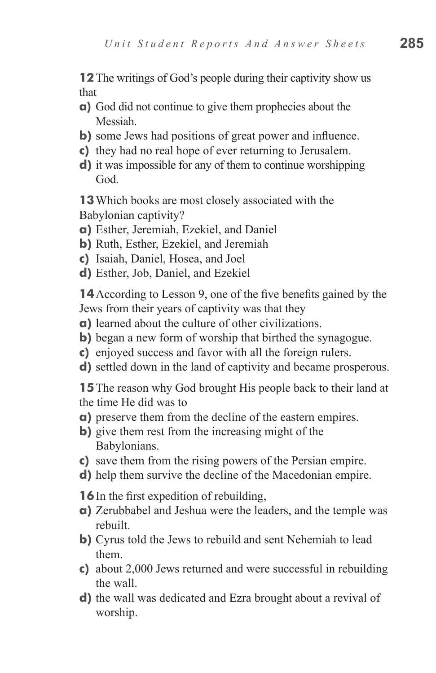**12** The writings of God's people during their captivity show us that

- **a)** God did not continue to give them prophecies about the Messiah.
- **b**) some Jews had positions of great power and influence.
- **c)** they had no real hope of ever returning to Jerusalem.
- **d)** it was impossible for any of them to continue worshipping God.

**13**Which books are most closely associated with the Babylonian captivity?

- **a)** Esther, Jeremiah, Ezekiel, and Daniel
- **b)** Ruth, Esther, Ezekiel, and Jeremiah
- **c)** Isaiah, Daniel, Hosea, and Joel
- **d)** Esther, Job, Daniel, and Ezekiel

**14**According to Lesson 9, one of the five benefits gained by the Jews from their years of captivity was that they

- **a)** learned about the culture of other civilizations.
- **b**) began a new form of worship that birthed the synagogue.
- **c)** enjoyed success and favor with all the foreign rulers.
- **d)** settled down in the land of captivity and became prosperous.

**15**The reason why God brought His people back to their land at the time He did was to

- **a)** preserve them from the decline of the eastern empires.
- **b**) give them rest from the increasing might of the Babylonians.
- **c)** save them from the rising powers of the Persian empire.
- **d)** help them survive the decline of the Macedonian empire.

**16**In the first expedition of rebuilding,

- **a)** Zerubbabel and Jeshua were the leaders, and the temple was rebuilt.
- **b)** Cyrus told the Jews to rebuild and sent Nehemiah to lead them.
- **c)** about 2,000 Jews returned and were successful in rebuilding the wall.
- **d)** the wall was dedicated and Ezra brought about a revival of worship.